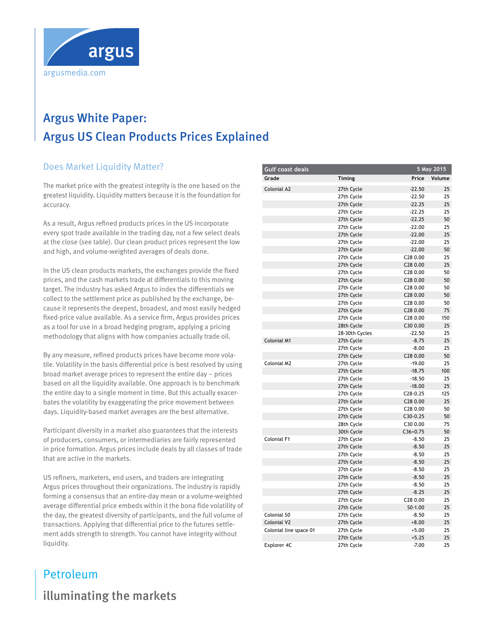

# **Argus White Paper:** Tuesday 5 May 2015 15-85 **15-85 Intervention 15-85 Intervention** Argus US Clean Products Prices Explained

## **Does Market Liquidity Matter?**

The market price with the greatest integrity is the one based on the memeric price matrice greatest maging is the end sased on the<br>greatest liquidity. Liquidity matters because it is the foundation for accuracy. the methodology. The low and high prices for 87 conventional prices for 87 conventional prices for 87 conventional prices for 87 convenience of the state of the state of the state of the state of the state of the state of  $\mathcal{M}$  were set at the June  $\mathcal{M}$ 

As a result, Argus refined products prices in the US incorporate every spot trade available in the trading day, not a few select deals at the close (see table). Our clean product prices represent the low and high, and volume-weighted averages of deals done.

In the US clean products markets, the exchanges provide the fixed prices, and the cash markets trade at differentials to this moving target. The industry has asked Argus to index the differentials we collect to the settlement price as published by the exchange, because it represents the deepest, broadest, and most easily hedged fixed-price value available. As a service firm, Argus provides prices as a tool for use in a broad hedging program, applying a pricing methodology that aligns with how companies actually trade oil.

By any measure, refined products prices have become more volatile. Volatility in the basis differential price is best resolved by using broad market average prices to represent the entire day – prices based on all the liquidity available. One approach is to benchmark the entire day to a single moment in time. But this actually exacerbates the volatility by exaggerating the price movement between days. Liquidity-based market averages are the best alternative.

Participant diversity in a market also guarantees that the interests of producers, consumers, or intermediaries are fairly represented in price formation. Argus prices include deals by all classes of trade that are active in the markets.

US refiners, marketers, end users, and traders are integrating Argus prices throughout their organizations. The industry is rapidly forming a consensus that an entire-day mean or a volume-weighted average differential price embeds within it the bona fide volatility of the day, the greatest diversity of participants, and the full volume of transactions. Applying that differential price to the futures settle-<br>settlement adds strength to strength. You cannot have integrity without<br>Italian liquidity. iers, marketers, end users, and haders are integrating  $p<sub>1</sub>$ 

#### **Gulf coast deals Grade timing Price volume** Colonial A2 27th Cycle -22.50 25 27th Cycle -22.50 25 27th Cycle 27th Cycle 25 27th Cycle -22.25 25 27th Cycle 27th Cycle 22.25 50 27th Cycle -22.00 25 27th Cycle 25 27th Cycle -22.00 25 27th Cycle -22.00 50 27th Cycle C28 0.00 25 27th Cycle C28 0.00 25 27th Cycle C28 0.00 50 27th Cycle **C28 0.00** 50 27th Cycle **C28 0.00** 50 27th Cycle **C28 0.00** 50 27th Cycle **C28 0.00** 50 27th Cycle C28 0.00 75 27th Cycle **C28 0.00** 150 28th Cycle C30 0.00 25 28-30th Cycles -22.50 25 Colonial M1 27th Cycle -8.75 25 27th Cycle -8.00 25 27th Cycle **C28 0.00** 50 Colonial M2 27th Cycle -19.00 25 27th Cycle -18.75 100 27th Cycle -18.50 25 27th Cycle -18.00 25 27th Cycle C28-0.25 125 27th Cycle C28 0.00 25 27th Cycle C28 0.00 50 27th Cycle **C30-0.25** 50 28th Cycle C30 0.00 75 30th Cycle **C36+0.75** 50 Colonial F1 27th Cycle -8.50 25 27th Cycle -8.50 25 27th Cycle -8.50 25 27th Cycle -8.50 25 27th Cycle -8.50 25 27th Cycle -8.50 25 27th Cycle -8.50 25 27th Cycle -8.25 25 27th Cycle C28 0.00 25 27th Cycle 50-1.00 25 Colonial S0 27th Cycle -8.50 25 Colonial V2 27th Cycle  $+8.00$  25 Colonial line space 01 27th Cycle  $+5.00$  25 27th Cycle  $+5.25$  25 Explorer 4C 27th Cycle -7.00 25 **5 May 2015**

# illuminating the markets

Petroleum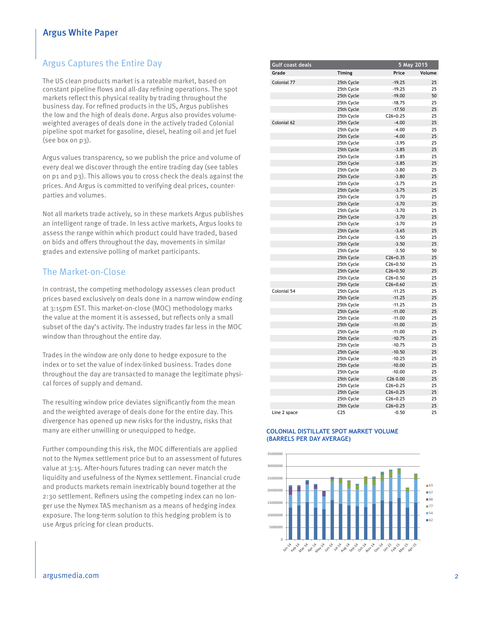## Argus White Paper

## Argus Captures the Entire Day

The US clean products market is a rateable market, based on The 05 clean products market is a rateable market, based on<br>constant pipeline flows and all-day refining operations. The spot markets reflect this physical reality by trading throughout the business day. For refined products in the US, Argus publishes the low and the high of deals done. Argus also provides volumeweighted averages of deals done in the actively traded Colonial USG for most of the day, without attracting demand. This kept pipeline spot market for gasoline, diesel, heating oil and jet fuel (see box on p3).  $p_{\text{r}}$  remains the maintenance of  $p_{\text{r}}$  and  $p_{\text{r}}$  and  $p_{\text{r}}$  are  $p_{\text{r}}$ 

Argus values transparency, so we publish the price and volume of **assessment rationale** every deal we discover through the entire trading day (see tables on p1 and p3). This allows you to cross check the deals against the prices. And Argus is committed to verifying deal prices, counterparties and volumes. session. The matrix  $\mathcal{L}$  matrix  $\mathcal{L}$  assessed between June Nymex ULSD.

Not all markets trade actively, so in these markets Argus publishes an intelligent range of trade. In less active markets, Argus looks to assess the range within which product could have traded, based on bids and offers throughout the day, movements in similar and the unit of the US at the US, we come the US. The US Atlantic control of the US Atlantic participants. point point with market participants.

## The Market-on-Close

In contrast, the competing methodology assesses clean product prices based exclusively on deals done in a narrow window ending at 3:15pm EST. This market-on-close (MOC) methodology marks the value at the moment it is assessed, but reflects only a small subset of the day's activity. The industry trades far less in the MOC  $m$  window than throughout the entire day.  $\alpha$ <sub>d</sub>  $\alpha$  and  $\alpha$  and  $\alpha$  use  $\alpha$ <sub>y</sub>.

Trades in the window are only done to hedge exposure to the index or to set the value of index-linked business. Trades done throughout the day are transacted to manage the legitimate physical forces of supply and demand. about an unit was assessed by the market was assessed by the Nymex ULSD.

The resulting window price deviates significantly from the mean and the weighted average of deals done for the entire day. This divergence has opened up new risks for the industry, risks that many are either unwilling or unequipped to hedge. to set the midpoint price as the forward curve is flat.

Further compounding this risk, the MOC differentials are applied not to the Nymex settlement price but to an assessment of futures value at 3:15. After-hours futures trading can never match the liquidity and usefulness of the Nymex settlement. Financial crude and products markets remain inextricably bound together at the manner of 2006. 2:30 settlement. Refiners using the competing index can no longer use the Nymex TAS mechanism as a means of hedging index exposure. The long-term solution to this hedging problem is to use Argus pricing for clean products.

| <b>Gulf coast deals</b> |                 | 5 May 2015 |        |
|-------------------------|-----------------|------------|--------|
| Grade                   | <b>Timing</b>   | Price      | Volume |
| Colonial 77             | 25th Cycle      | $-19.25$   | 25     |
|                         | 25th Cycle      | $-19.25$   | 25     |
|                         | 25th Cycle      | $-19.00$   | 50     |
|                         | 25th Cycle      | $-18.75$   | 25     |
|                         | 25th Cycle      | $-17.50$   | 25     |
|                         | 25th Cycle      | $C26+0.25$ | 25     |
| Colonial 62             | 25th Cycle      | $-4.00$    | 25     |
|                         | 25th Cycle      | $-4.00$    | 25     |
|                         | 25th Cycle      | $-4.00$    | 25     |
|                         | 25th Cycle      | $-3.95$    | 25     |
|                         | 25th Cycle      | $-3.85$    | 25     |
|                         | 25th Cycle      | $-3.85$    | 25     |
|                         | 25th Cycle      | $-3.85$    | 25     |
|                         | 25th Cycle      | $-3.80$    | 25     |
|                         | 25th Cycle      | $-3.80$    | 25     |
|                         | 25th Cycle      | $-3.75$    | 25     |
|                         | 25th Cycle      | $-3.75$    | 25     |
|                         | 25th Cycle      | $-3.70$    | 25     |
|                         | 25th Cycle      | $-3.70$    | 25     |
|                         | 25th Cycle      | $-3.70$    | 25     |
|                         | 25th Cycle      | $-3.70$    | 25     |
|                         | 25th Cycle      | $-3.70$    | 25     |
|                         | 25th Cycle      | $-3.65$    | 25     |
|                         | 25th Cycle      | $-3.50$    | 25     |
|                         | 25th Cycle      | $-3.50$    | 25     |
|                         | 25th Cycle      | $-3.50$    | 50     |
|                         | 25th Cycle      | $C26+0.35$ | 25     |
|                         | 25th Cycle      | $C26+0.50$ | 25     |
|                         | 25th Cycle      | $C26+0.50$ | 25     |
|                         | 25th Cycle      | $C26+0.50$ | 25     |
|                         | 25th Cycle      | $C26+0.60$ | 25     |
| Colonial 54             | 25th Cycle      | $-11.25$   | 25     |
|                         | 25th Cycle      | $-11.25$   | 25     |
|                         | 25th Cycle      | $-11.25$   | 25     |
|                         | 25th Cycle      | $-11.00$   | 25     |
|                         | 25th Cycle      | $-11.00$   | 25     |
|                         | 25th Cycle      | $-11.00$   | 25     |
|                         | 25th Cycle      | $-11.00$   | 25     |
|                         | 25th Cycle      | $-10.75$   | 25     |
|                         | 25th Cycle      | $-10.75$   | 25     |
|                         | 25th Cycle      | $-10.50$   | 25     |
|                         | 25th Cycle      | $-10.25$   | 25     |
|                         | 25th Cycle      | $-10.00$   | 25     |
|                         | 25th Cycle      | $-10.00$   | 25     |
|                         | 25th Cycle      | C26 0.00   | 25     |
|                         | 25th Cycle      | $C26+0.25$ | 25     |
|                         | 25th Cycle      | $C26+0.25$ | 25     |
|                         | 25th Cycle      | $C26+0.25$ | 25     |
|                         | 25th Cycle      | $C26+0.25$ | 25     |
| Line 2 space            | C <sub>25</sub> | $-0.50$    | 25     |

#### **COLONIAL DISTILLATE SPOT MARKET VOLUME (BARRELS PER DAY AVERAGE)**

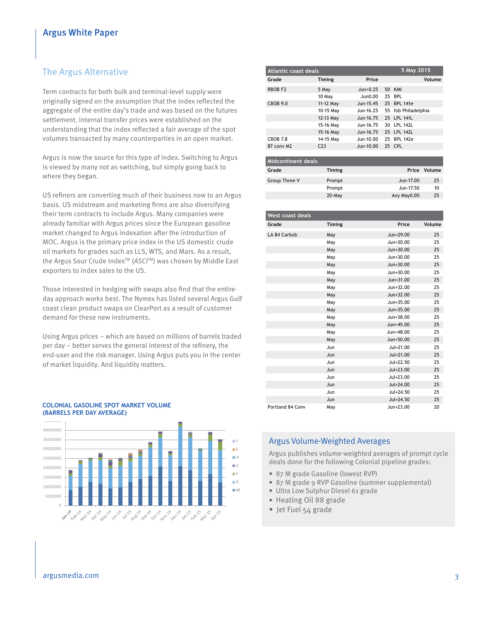#### The Argus Alternative **LA CARB ULSD cash a**<sup>1</sup>

Term contracts for both bulk and terminal-level supply were **210** originally signed on the assumption that the index reflected the aggregate of the entire day's trade and was based on the futures **200** settlement. Internal transfer prices were established on the understanding that the index reflected a fair average of the spot **190** volumes transacted by many counterparties in an open market. **hh hh**

Argus is now the source for this type of index. Switching to Argus is viewed by many not as switching, but simply going back to where they began.

US refiners are converting much of their business now to an Argus basis. US midstream and marketing firms are also diversifying their term contracts to include Argus. Many companies were already familiar with Argus prices since the European gasoline **220** market changed to Argus indexation after the introduction of MOC. Argus is the primary price index in the US domestic crude oil markets for grades such as LLS, WTS, and Mars. As a result, **200** the Argus Sour Crude Index<sup>™</sup> (ASCI<sup>™</sup>) was chosen by Middle East exporters to index sales to the US. **180**

Those interested in hedging with swaps also find that the entireday approach works best. The Nymex has listed several Argus Gulf **160** coast clean product swaps on ClearPort as a result of customer demand for these new instruments. **140**

Using Argus prices – which are based on millions of barrels traded per day – better serves the general interest of the refinery, the end-user and the risk manager. Using Argus puts you in the center of market liquidity. And liquidity matters.





| Atlantic coast deals |                 | 5 May 2015  |                     |
|----------------------|-----------------|-------------|---------------------|
| Grade                | <b>Timing</b>   | Price       | Volume              |
| RBOB <sub>F2</sub>   | 5 May           | $Jun+0.25$  | 50 KMI              |
|                      | 10 May          | Jun0.00     | 25 BPL              |
| <b>CBOB 9.0</b>      | 11-12 May       | Jun-15.45   | 25 BPL 141e         |
|                      | 10-15 May       | Jun-16.25   | 55 fob Philadelphia |
|                      | 12-13 May       | Jun-16.75   | 25 LPL 141L         |
|                      | 15-16 May       | Jun-16.75   | 30 LPL 142L         |
|                      | 15-16 May       | Jun-16.75   | 25 LPL 142L         |
| CBOB 7.8             | 14-15 May       | $Jun-10.00$ | 25 BPL 142e         |
| 87 conv M2           | C <sub>23</sub> | Jun-10.00   | 25 CPL              |
|                      |                 |             |                     |

| Midcontinent deals |               |             |              |
|--------------------|---------------|-------------|--------------|
| Grade              | <b>Timing</b> |             | Price Volume |
| Group Three V      | Prompt        | Jun-17.00   | 25           |
|                    | Prompt        | Jun-17.50   | 10           |
|                    | $20$ -May     | Any May0.00 | 25           |

| <b>West coast deals</b> |        |               |        |
|-------------------------|--------|---------------|--------|
| Grade                   | Timing | Price         | Volume |
| LA 84 Carbob            | May    | Jun+29.00     | 25     |
|                         | May    | Jun+30.00     | 25     |
|                         | May    | Jun+30.00     | 25     |
|                         | May    | $Jun+30.00$   | 25     |
|                         | May    | Jun+30.00     | 25     |
|                         | May    | Jun+30.00     | 25     |
|                         | May    | Jun+31.00     | 25     |
|                         | May    | $Jun + 32.00$ | 25     |
|                         | May    | Jun+32.00     | 25     |
|                         | May    | Jun+35.00     | 25     |
|                         | May    | Jun+35.00     | 25     |
|                         | May    | Jun+38.00     | 25     |
|                         | May    | Jun+45.00     | 25     |
|                         | May    | Jun+48.00     | 25     |
|                         | May    | Jun+50.00     | 25     |
|                         | Jun    | $Jul+21.00$   | 25     |
|                         | Jun    | Jul+21.00     | 25     |
|                         | Jun    | Jul+22.50     | 25     |
|                         | Jun    | Jul+23.00     | 25     |
|                         | Jun    | Jul+23.00     | 25     |
|                         | Jun    | Jul+24.00     | 25     |
|                         | Jun    | Jul+24.50     | 25     |
|                         | Jun    | Jul+24.50     | 25     |
| Portland 84 Conv        | May    | Jun+23.00     | 20     |

#### Argus Volume-Weighted Averages

Argus publishes volume-weighted averages of prompt cycle deals done for the following Colonial pipeline grades:

- 87 M grade Gasoline (lowest RVP)
- 87 M grade 9 RVP Gasoline (summer supplemental)
- Ultra Low Sulphur Diesel 61 grade
- Heating Oil 88 grade
- $\bullet$  Jet Fuel 54 grade